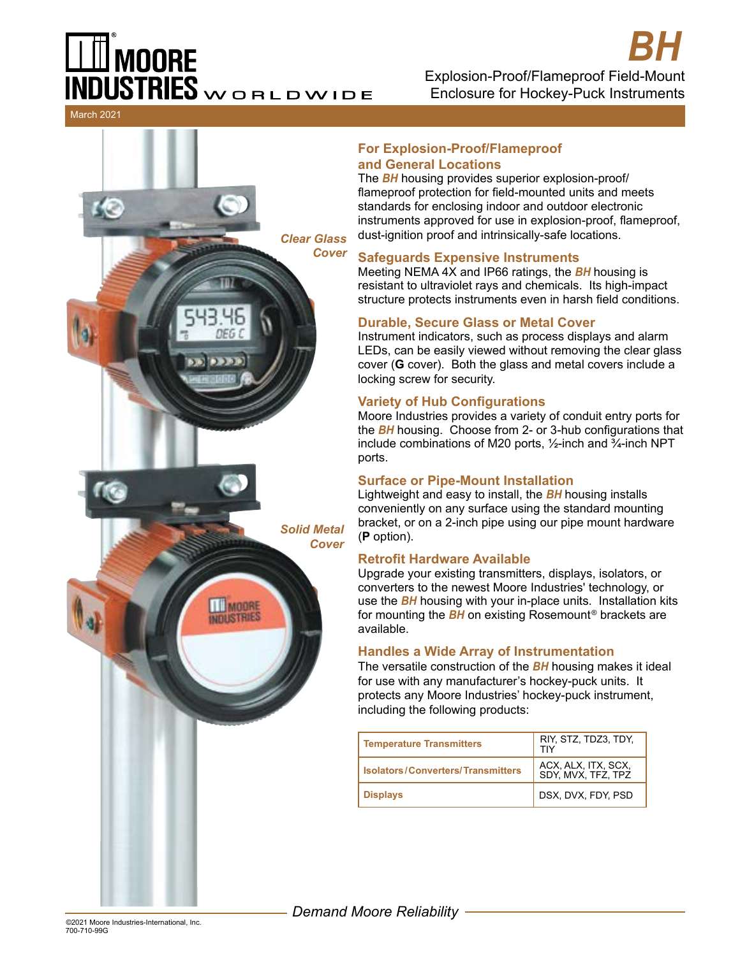# **MOORE NDUSTRIES** WORLDWIDE

Explosion-Proof/Flameproof Field-Mount Enclosure for Hockey-Puck Instruments *BH*

March 2021



#### **For Explosion-Proof/Flameproof and General Locations**

The *BH* housing provides superior explosion-proof/ flameproof protection for field-mounted units and meets standards for enclosing indoor and outdoor electronic instruments approved for use in explosion-proof, flameproof, dust-ignition proof and intrinsically-safe locations.

#### **Safeguards Expensive Instruments**

Meeting NEMA 4X and IP66 ratings, the *BH* housing is resistant to ultraviolet rays and chemicals. Its high-impact structure protects instruments even in harsh field conditions.

### **Durable, Secure Glass or Metal Cover**

Instrument indicators, such as process displays and alarm LEDs, can be easily viewed without removing the clear glass cover (**G** cover). Both the glass and metal covers include a locking screw for security.

#### **Variety of Hub Configurations**

Moore Industries provides a variety of conduit entry ports for the *BH* housing. Choose from 2- or 3-hub configurations that include combinations of M20 ports,  $\frac{1}{2}$ -inch and  $\frac{3}{4}$ -inch NPT ports.

#### **Surface or Pipe-Mount Installation**

Lightweight and easy to install, the *BH* housing installs conveniently on any surface using the standard mounting bracket, or on a 2-inch pipe using our pipe mount hardware (**P** option).

#### **Retrofit Hardware Available**

Upgrade your existing transmitters, displays, isolators, or converters to the newest Moore Industries' technology, or use the *BH* housing with your in-place units. Installation kits for mounting the *BH* on existing Rosemount® brackets are available.

#### **Handles a Wide Array of Instrumentation**

The versatile construction of the *BH* housing makes it ideal for use with any manufacturer's hockey-puck units. It protects any Moore Industries' hockey-puck instrument, including the following products:

| <b>Temperature Transmitters</b>          | RIY, STZ, TDZ3, TDY,<br>TIY               |
|------------------------------------------|-------------------------------------------|
| <b>Isolators/Converters/Transmitters</b> | ACX, ALX, ITX, SCX,<br>SDY, MVX, TFZ, TPZ |
| <b>Displays</b>                          | DSX, DVX, FDY, PSD                        |

*Demand Moore Reliability*